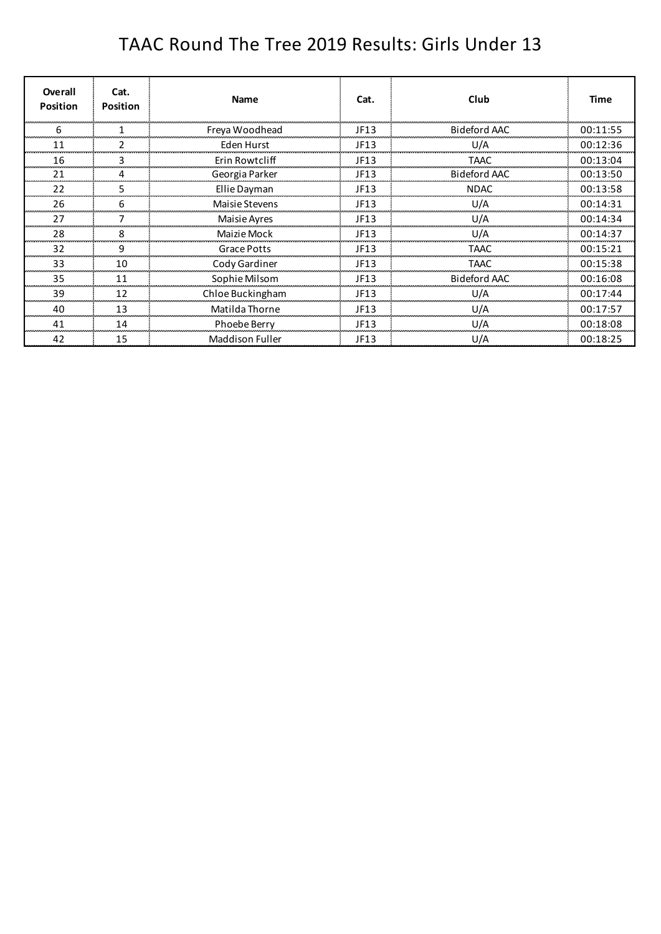## TAAC Round The Tree 2019 Results: Girls Under 13

| Overall<br><b>Position</b> | Cat.<br><b>Position</b> | <b>Name</b>            | Cat. | Club                | <b>Time</b> |
|----------------------------|-------------------------|------------------------|------|---------------------|-------------|
| n                          |                         | Freya Woodhead         | JF13 | <b>Bideford AAC</b> | 00:11:55    |
| 11                         |                         | Eden Hurst             | JF13 | U/A                 | 00:12:36    |
| 16                         | 3.                      | Erin Rowtcliff         | JF13 | TAAC                | 00:13:04    |
| 21                         | 4                       | Georgia Parker         | JF13 | <b>Bideford AAC</b> | 00:13:50    |
| 22                         | 5.                      | Ellie Dayman           | JF13 | <b>NDAC</b>         | 00:13:58    |
| 26                         | 6                       | Maisie Stevens         | JF13 | U/A                 | 00:14:31    |
| 27                         |                         | Maisie Ayres           | JF13 | U/A                 | 00:14:34    |
| 28                         | 8                       | Maizie Mock            | JF13 | U/A                 | 00:14:37    |
| 32                         | 9                       | Grace Potts            | JF13 | TAAC                | 00:15:21    |
| 33                         | 10                      | Cody Gardiner          | JF13 | TAAC                | 00:15:38    |
| 35                         | 11                      | Sophie Milsom          | JF13 | Bideford AAC        | 00:16:08    |
| 39                         | 12                      | Chloe Buckingham       | JF13 | U/A                 | 00:17:44    |
| 40                         | 13                      | Matilda Thorne         | JF13 | U/A                 | 00:17:57    |
| 41                         | 14                      | Phoebe Berry           | JF13 | U/A                 | 00:18:08    |
| 42                         | 15                      | <b>Maddison Fuller</b> | JF13 | U/A                 | 00:18:25    |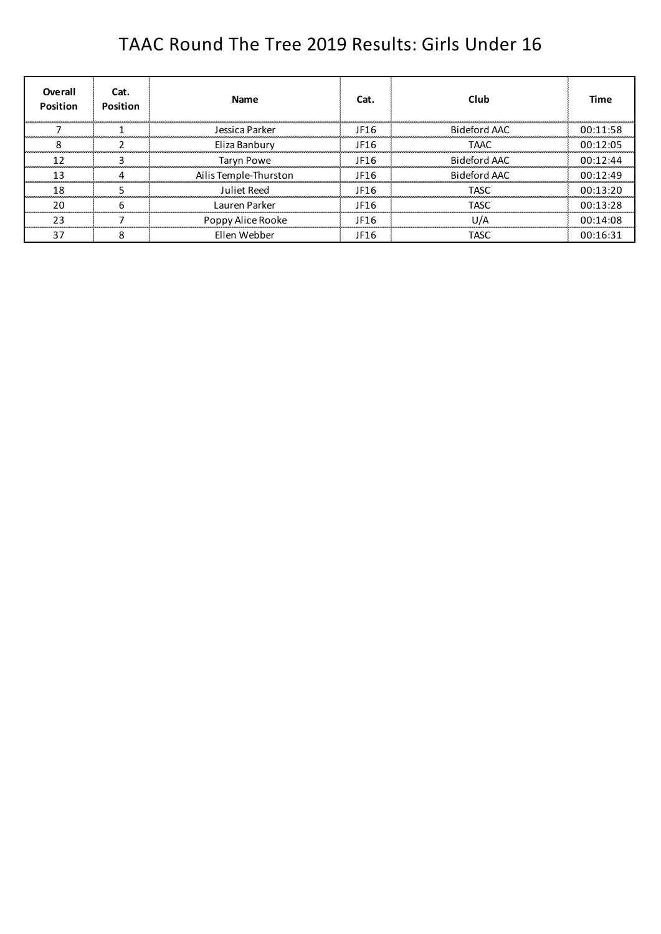## TAAC Round The Tree 2019 Results: Girls Under 16

| Overall<br><b>Position</b> | Cat.<br><b>Position</b> | Name                  | Cat. | Club         | Time     |
|----------------------------|-------------------------|-----------------------|------|--------------|----------|
|                            |                         | Tessica Parker        | JF16 | Bideford AAC | 00.11.58 |
|                            |                         | Eliza Banbury         | JF16 | TAAC.        | 00:12:05 |
|                            |                         | <b>Taryn Powe</b>     | JF16 | Bideford AAC | 00.12.44 |
|                            |                         | Ailis Temple-Thurston | JF16 | Bideford AAC | 00.12.49 |
| 18                         |                         | Juliet Reed           | JF16 | TASC.        | 00.13.20 |
| 2በ                         |                         | Lauren Parker         | JF16 | TASC         | 00:13:28 |
| າ ລ                        |                         | Poppy Alice Rooke     | JF16 | 11 I A       | 00:14:08 |
|                            |                         | Fllen Webber          | JF16 | TASC         | 00.16.31 |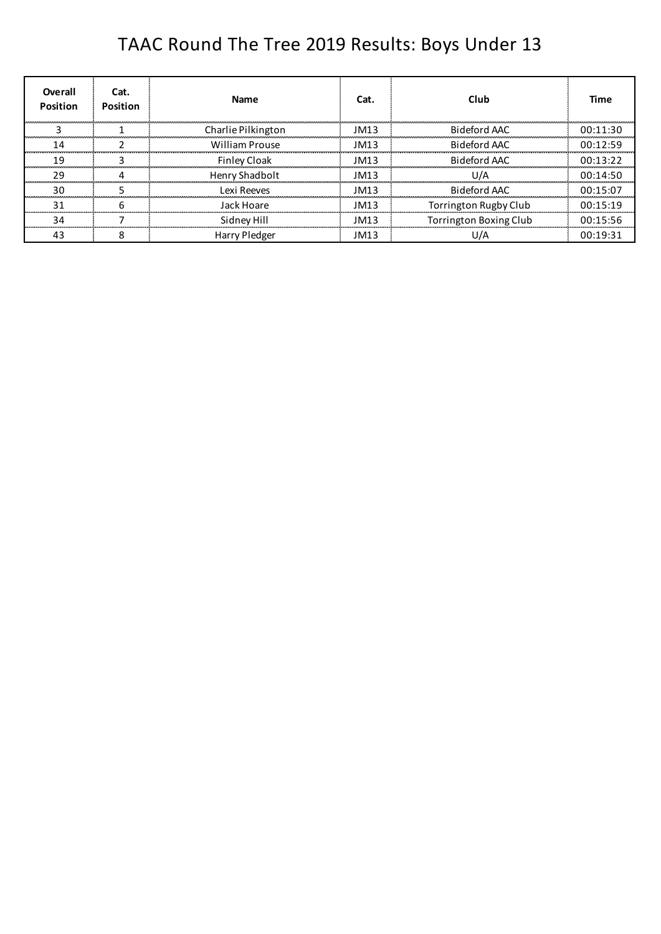## TAAC Round The Tree 2019 Results: Boys Under 13

| Overall<br><b>Position</b> | Cat.<br>Position | <b>Name</b>           | Cat. | Club                          | Time     |
|----------------------------|------------------|-----------------------|------|-------------------------------|----------|
|                            |                  | Charlie Pilkington    | IM13 | Bideford AAC                  | 00.11.30 |
|                            |                  | <b>William Prouse</b> | JM13 | Bideford AAC                  | 00.12.59 |
| 1 Q                        |                  | <b>Finley Cloak</b>   | JM13 | Bideford AAC                  | 00.13.22 |
| າ ດ                        |                  | Henry Shadbolt        | JM13 | 1 I / A                       | 00:14:50 |
| 30                         |                  | I exi Reeves          | IM13 | Bideford AAC                  | 00:15:07 |
| 31                         |                  | Jack Hoare            | JM13 | Torrington Rugby Club         | 00:15:19 |
| 34                         |                  | Sidney Hill           | IM13 | <b>Torrington Boxing Club</b> | 00:15:56 |
|                            |                  | <b>Harry Pledger</b>  | JM13 |                               | 00.19.31 |